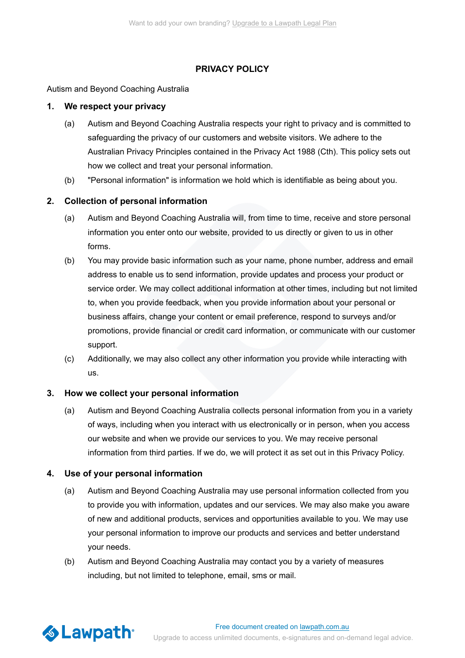# **PRIVACY POLICY**

Autism and Beyond Coaching Australia

## **1. We respect your privacy**

- (a) Autism and Beyond Coaching Australia respects your right to privacy and is committed to safeguarding the privacy of our customers and website visitors. We adhere to the Australian Privacy Principles contained in the Privacy Act 1988 (Cth). This policy sets out how we collect and treat your personal information.
- (b) "Personal information" is information we hold which is identifiable as being about you.

# **2. Collection of personal information**

- (a) Autism and Beyond Coaching Australia will, from time to time, receive and store personal information you enter onto our website, provided to us directly or given to us in other forms.
- (b) You may provide basic information such as your name, phone number, address and email address to enable us to send information, provide updates and process your product or [service order. We may collect additional information at other times, including but not limited](https://lawpath.com.au/pricing) to, when you provide feedback, when you provide information about your personal or business affairs, change your content or email preference, respond to surveys and/or promotions, provide financial or credit card information, or communicate with our customer support.
- (c) Additionally, we may also collect any other information you provide while interacting with us.

### **3. How we collect your personal information**

(a) Autism and Beyond Coaching Australia collects personal information from you in a variety of ways, including when you interact with us electronically or in person, when you access our website and when we provide our services to you. We may receive personal information from third parties. If we do, we will protect it as set out in this Privacy Policy.

### **4. Use of your personal information**

- (a) Autism and Beyond Coaching Australia may use personal information collected from you to provide you with information, updates and our services. We may also make you aware of new and additional products, services and opportunities available to you. We may use your personal information to improve our products and services and better understand your needs.
- (b) Autism and Beyond Coaching Australia may contact you by a variety of measures including, but not limited to telephone, email, sms or mail.

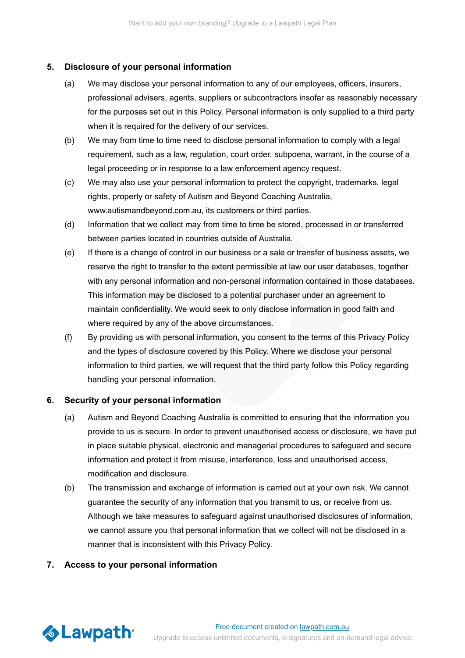### **5. Disclosure of your personal information**

- (a) We may disclose your personal information to any of our employees, officers, insurers, [professional advisers, agents, suppliers or subcontractors insofar as reasonably necessary](https://lawpath.com.au/pricing) for the purposes set out in this Policy. Personal information is only supplied to a third party when it is required for the delivery of our services.
- (b) We may from time to time need to disclose personal information to comply with a legal requirement, such as a law, regulation, court order, subpoena, warrant, in the course of a legal proceeding or in response to a law enforcement agency request.
- (c) We may also use your personal information to protect the copyright, trademarks, legal rights, property or safety of Autism and Beyond Coaching Australia, www.autismandbeyond.com.au, its customers or third parties.
- (d) Information that we collect may from time to time be stored, processed in or transferred between parties located in countries outside of Australia.
- (e) If there is a change of control in our business or a sale or transfer of business assets, we reserve the right to transfer to the extent permissible at law our user databases, together with any personal information and non-personal information contained in those databases. This information may be disclosed to a potential purchaser under an agreement to maintain confidentiality. We would seek to only disclose information in good faith and where required by any of the above circumstances.
- (f) By providing us with personal information, you consent to the terms of this Privacy Policy and the types of disclosure covered by this Policy. Where we disclose your personal information to third parties, we will request that the third party follow this Policy regarding handling your personal information.

### **6. Security of your personal information**

- (a) Autism and Beyond Coaching Australia is committed to ensuring that the information you provide to us is secure. In order to prevent unauthorised access or disclosure, we have put in place suitable physical, electronic and managerial procedures to safeguard and secure information and protect it from misuse, interference, loss and unauthorised access, modification and disclosure.
- (b) The transmission and exchange of information is carried out at your own risk. We cannot guarantee the security of any information that you transmit to us, or receive from us. Although we take measures to safeguard against unauthorised disclosures of information, we cannot assure you that personal information that we collect will not be disclosed in a manner that is inconsistent with this Privacy Policy.

# **7. Access to your personal information**

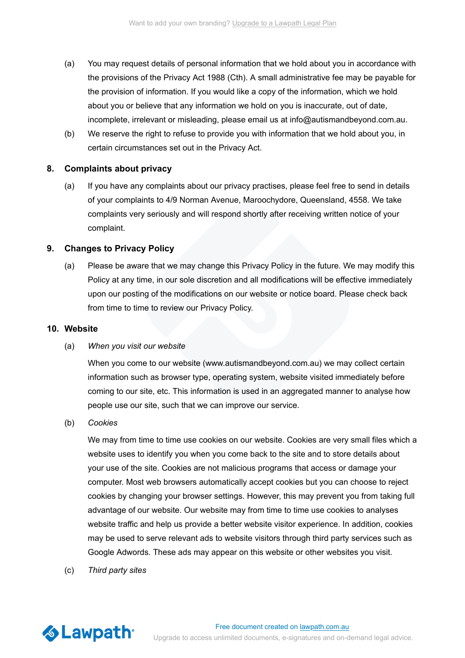- (a) You may request details of personal information that we hold about you in accordance with the provisions of the Privacy Act 1988 (Cth). A small administrative fee may be payable for the provision of information. If you would like a copy of the information, which we hold about you or believe that any information we hold on you is inaccurate, out of date, incomplete, irrelevant or misleading, please email us at info@autismandbeyond.com.au.
- (b) We reserve the right to refuse to provide you with information that we hold about you, in certain circumstances set out in the Privacy Act.

#### **8. Complaints about privacy**

(a) If you have any complaints about our privacy practises, please feel free to send in details of your complaints to 4/9 Norman Avenue, Maroochydore, Queensland, 4558. We take complaints very seriously and will respond shortly after receiving written notice of your complaint.

#### **9. Changes to Privacy Policy**

(a) Please be aware that we may change this Privacy Policy in the future. We may modify this Policy at any time, in our sole discretion and all modifications will be effective immediately upon our posting of the modifications on our website or notice board. Please check back from time to time to review our Privacy Policy.

## **10. Website**

#### (a) *When you visit our website*

When you come to our website (www.autismandbeyond.com.au) we may collect certain information such as browser type, operating system, website visited immediately before coming to our site, etc. This information is used in an aggregated manner to analyse how people use our site, such that we can improve our service.

(b) *Cookies*

> [We may from time to time use cookies on our website. Cookies are very small files which a](https://lawpath.com.au/pricing) website uses to identify you when you come back to the site and to store details about your use of the site. Cookies are not malicious programs that access or damage your computer. Most web browsers automatically accept cookies but you can choose to reject cookies by changing your browser settings. However, this may prevent you from taking full advantage of our website. Our website may from time to time use cookies to analyses website traffic and help us provide a better website visitor experience. In addition, cookies may be used to serve relevant ads to website visitors through third party services such as Google Adwords. These ads may appear on this website or other websites you visit.

(c) *Third party sites*